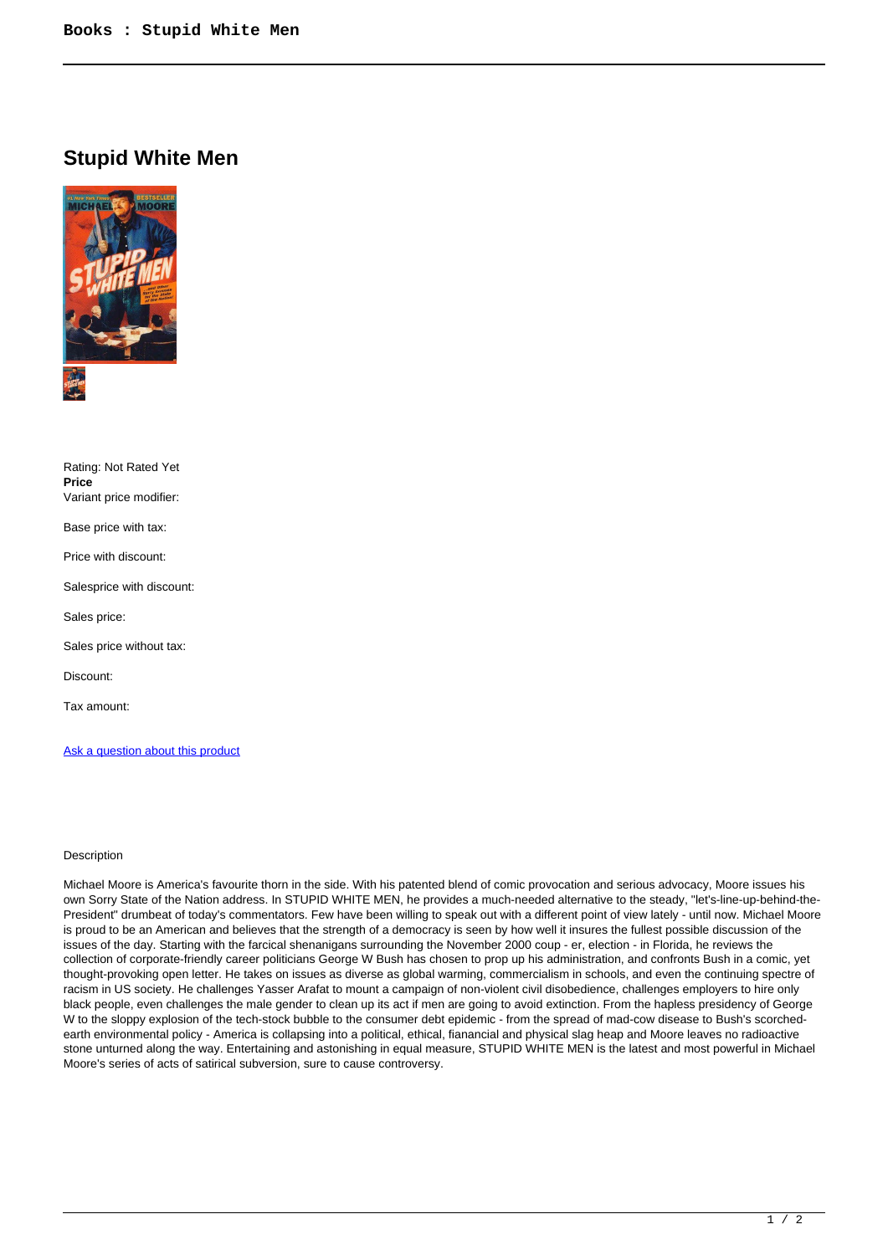## **Stupid White Men**



| Rating: Not Rated Yet<br>Price<br>Variant price modifier: |
|-----------------------------------------------------------|
| Base price with tax:                                      |
| Price with discount:                                      |
| Salesprice with discount:                                 |
| Sales price:                                              |
| Sales price without tax:                                  |
| Discount:                                                 |
| Tax amount:                                               |
|                                                           |

Ask a question about this product

## Description

Michael Moore is America's favourite thorn in the side. With his patented blend of comic provocation and serious advocacy, Moore issues his own Sorry State of the Nation address. In STUPID WHITE MEN, he provides a much-needed alternative to the steady, "let's-line-up-behind-the-President" drumbeat of today's commentators. Few have been willing to speak out with a different point of view lately - until now. Michael Moore is proud to be an American and believes that the strength of a democracy is seen by how well it insures the fullest possible discussion of the issues of the day. Starting with the farcical shenanigans surrounding the November 2000 coup - er, election - in Florida, he reviews the collection of corporate-friendly career politicians George W Bush has chosen to prop up his administration, and confronts Bush in a comic, yet thought-provoking open letter. He takes on issues as diverse as global warming, commercialism in schools, and even the continuing spectre of racism in US society. He challenges Yasser Arafat to mount a campaign of non-violent civil disobedience, challenges employers to hire only black people, even challenges the male gender to clean up its act if men are going to avoid extinction. From the hapless presidency of George W to the sloppy explosion of the tech-stock bubble to the consumer debt epidemic - from the spread of mad-cow disease to Bush's scorchedearth environmental policy - America is collapsing into a political, ethical, fianancial and physical slag heap and Moore leaves no radioactive stone unturned along the way. Entertaining and astonishing in equal measure, STUPID WHITE MEN is the latest and most powerful in Michael Moore's series of acts of satirical subversion, sure to cause controversy.